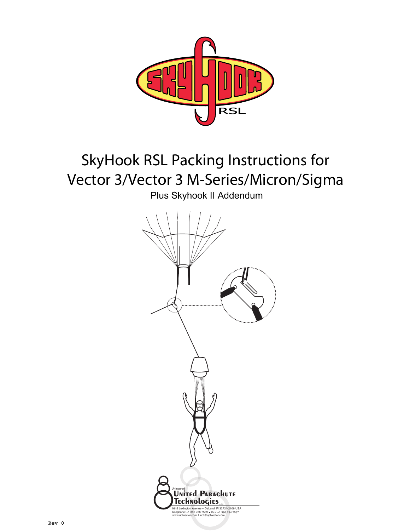

# SkyHook RSL Packing Instructions for Vector 3/Vector 3 M-Series/Micron/Sigma

Plus Skyhook II Addendum

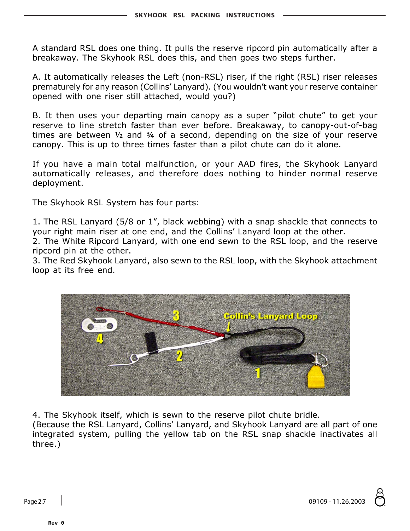A standard RSL does one thing. It pulls the reserve ripcord pin automatically after a breakaway. The Skyhook RSL does this, and then goes two steps further.

A. It automatically releases the Left (non-RSL) riser, if the right (RSL) riser releases prematurely for any reason (Collins' Lanyard). (You wouldn't want your reserve container opened with one riser still attached, would you?)

B. It then uses your departing main canopy as a super "pilot chute" to get your reserve to line stretch faster than ever before. Breakaway, to canopy-out-of-bag times are between  $\frac{1}{2}$  and  $\frac{3}{4}$  of a second, depending on the size of your reserve canopy. This is up to three times faster than a pilot chute can do it alone.

If you have a main total malfunction, or your AAD fires, the Skyhook Lanyard automatically releases, and therefore does nothing to hinder normal reserve deployment.

The Skyhook RSL System has four parts:

1. The RSL Lanyard (5/8 or 1", black webbing) with a snap shackle that connects to your right main riser at one end, and the Collins' Lanyard loop at the other.

2. The White Ripcord Lanyard, with one end sewn to the RSL loop, and the reserve ripcord pin at the other.

3. The Red Skyhook Lanyard, also sewn to the RSL loop, with the Skyhook attachment loop at its free end.



4. The Skyhook itself, which is sewn to the reserve pilot chute bridle.

(Because the RSL Lanyard, Collins' Lanyard, and Skyhook Lanyard are all part of one integrated system, pulling the yellow tab on the RSL snap shackle inactivates all three.)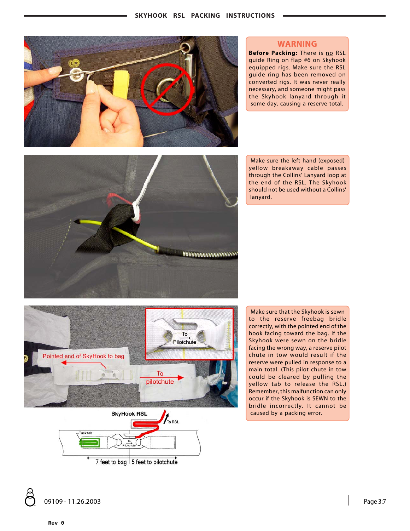

#### **WARNING**

**Before Packing:** There is no RSL guide Ring on flap #6 on Skyhook equipped rigs. Make sure the RSL guide ring has been removed on converted rigs. It was never really necessary, and someone might pass the Skyhook lanyard through it some day, causing a reserve total.

Make sure the left hand (exposed) yellow breakaway cable passes through the Collins' Lanyard loop at the end of the RSL. The Skyhook should not be used without a Collins' lanyard.





7 feet to bag | 5 feet to pilotchute

Make sure that the Skyhook is sewn to the reserve freebag bridle correctly, with the pointed end of the hook facing toward the bag. If the Skyhook were sewn on the bridle facing the wrong way, a reserve pilot chute in tow would result if the reserve were pulled in response to a main total. (This pilot chute in tow could be cleared by pulling the yellow tab to release the RSL.) Remember, this malfunction can only occur if the Skyhook is SEWN to the bridle incorrectly. It cannot be caused by a packing error.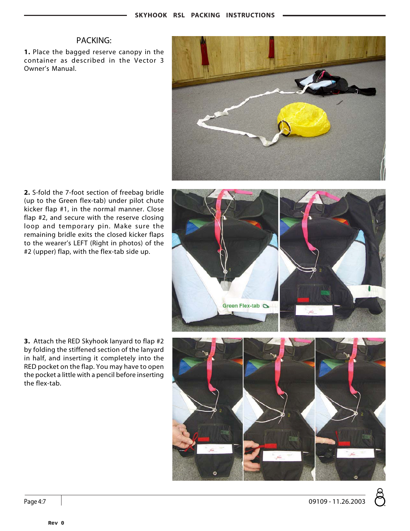# PACKING:

**1.** Place the bagged reserve canopy in the container as described in the Vector 3 Owner's Manual.



**2.** S-fold the 7-foot section of freebag bridle (up to the Green flex-tab) under pilot chute kicker flap #1, in the normal manner. Close flap #2, and secure with the reserve closing loop and temporary pin. Make sure the remaining bridle exits the closed kicker flaps to the wearer's LEFT (Right in photos) of the #2 (upper) flap, with the flex-tab side up.



**3.** Attach the RED Skyhook lanyard to flap #2 by folding the stiffened section of the lanyard in half, and inserting it completely into the RED pocket on the flap. You may have to open the pocket a little with a pencil before inserting the flex-tab.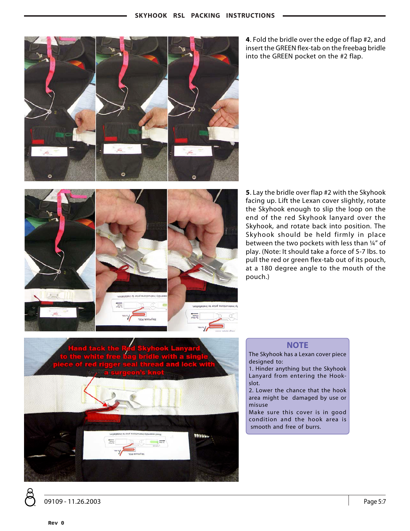

**4**. Fold the bridle over the edge of flap #2, and insert the GREEN flex-tab on the freebag bridle into the GREEN pocket on the #2 flap.



**5**. Lay the bridle over flap #2 with the Skyhook facing up. Lift the Lexan cover slightly, rotate the Skyhook enough to slip the loop on the end of the red Skyhook lanyard over the Skyhook, and rotate back into position. The Skyhook should be held firmly in place between the two pockets with less than ¼" of play. (Note: It should take a force of 5-7 lbs. to pull the red or green flex-tab out of its pouch, at a 180 degree angle to the mouth of the pouch.)



# **NOTE**

- The Skyhook has a Lexan cover piece designed to:
- 1. Hinder anything but the Skyhook Lanyard from entering the Hookslot.
- 2. Lower the chance that the hook area might be damaged by use or misuse
- Make sure this cover is in good condition and the hook area is smooth and free of burrs.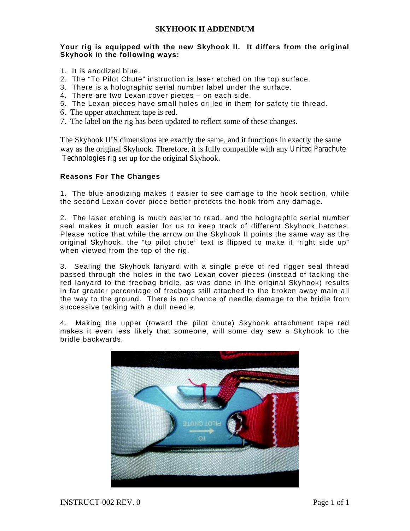## **SKYHOOK II ADDENDUM**

### **Your rig is equipped with the new Skyhook II. It differs from the original Skyhook in the following ways:**

- 1. It is anodized blue.
- 2. The "To Pilot Chute" instruction is laser etched on the top surface.
- 3. There is a holographic serial number label under the surface.
- 4. There are two Lexan cover pieces on each side.
- 5. The Lexan pieces have small holes drilled in them for safety tie thread.
- 6. The upper attachment tape is red.
- 7. The label on the rig has been updated to reflect some of these changes.

The Skyhook II'S dimensions are exactly the same, and it functions in exactly the same way as the original Skyhook. Therefore, it is fully compatible with any United Parachute Technologies rig set up for the original Skyhook.

### **Reasons For The Changes**

1. The blue anodizing makes it easier to see damage to the hook section, while the second Lexan cover piece better protects the hook from any damage.

2. The laser etching is much easier to read, and the holographic serial number seal makes it much easier for us to keep track of different Skyhook batches. Please notice that while the arrow on the Skyhook II points the same way as the original Skyhook, the "to pilot chute" text is flipped to make it "right side up" when viewed from the top of the rig.

3. Sealing the Skyhook lanyard with a single piece of red rigger seal thread passed through the holes in the two Lexan cover pieces (instead of tacking the red lanyard to the freebag bridle, as was done in the original Skyhook) results in far greater percentage of freebags still attached to the broken away main all the way to the ground. There is no chance of needle damage to the bridle from successive tacking with a dull needle.

4. Making the upper (toward the pilot chute) Skyhook attachment tape red makes it even less likely that someone, will some day sew a Skyhook to the bridle backwards.

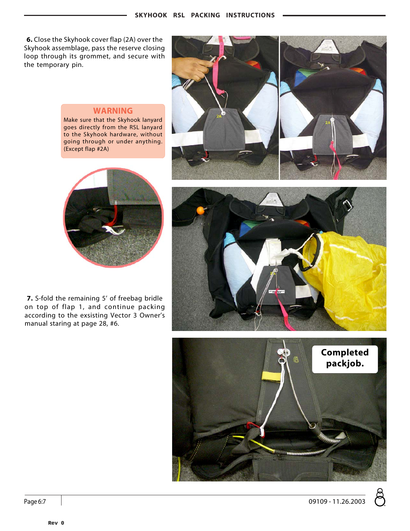**6.** Close the Skyhook cover flap (2A) over the Skyhook assemblage, pass the reserve closing loop through its grommet, and secure with the temporary pin.



## **WARNING**

Make sure that the Skyhook lanyard goes directly from the RSL lanyard to the Skyhook hardware, without going through or under anything. (Except flap #2A)



**7.** S-fold the remaining 5' of freebag bridle on top of flap 1, and continue packing according to the exsisting Vector 3 Owner's manual staring at page 28, #6.